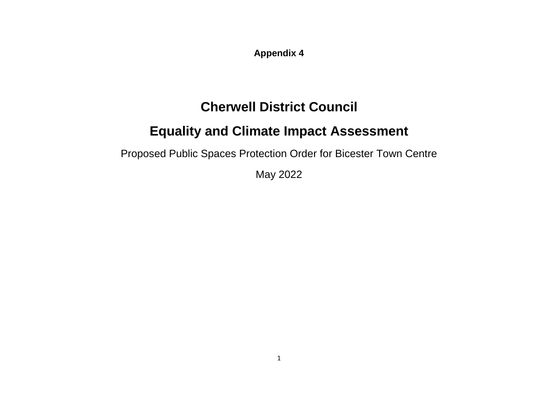**Appendix 4**

# **Cherwell District Council**

# **Equality and Climate Impact Assessment**

Proposed Public Spaces Protection Order for Bicester Town Centre

May 2022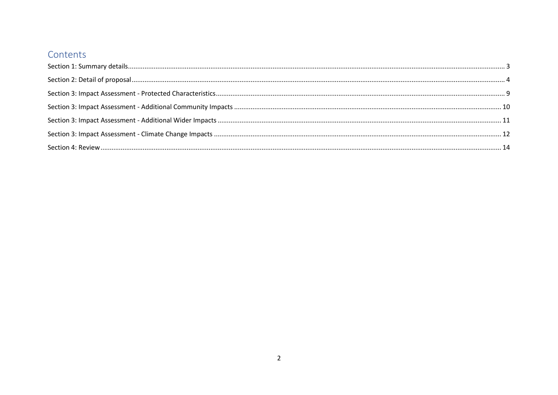#### Contents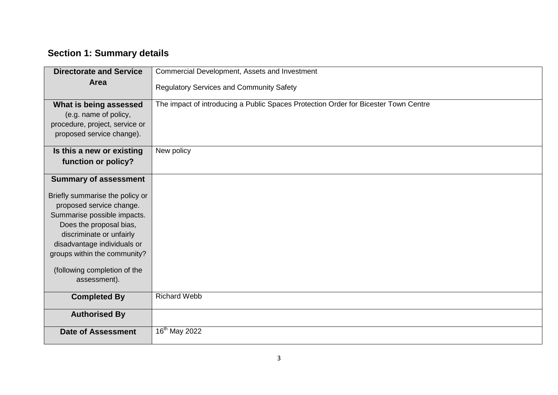# <span id="page-2-0"></span>**Section 1: Summary details**

| <b>Directorate and Service</b>                                                                                 | Commercial Development, Assets and Investment                                       |
|----------------------------------------------------------------------------------------------------------------|-------------------------------------------------------------------------------------|
| Area                                                                                                           | <b>Regulatory Services and Community Safety</b>                                     |
| What is being assessed<br>(e.g. name of policy,<br>procedure, project, service or<br>proposed service change). | The impact of introducing a Public Spaces Protection Order for Bicester Town Centre |
| Is this a new or existing<br>function or policy?                                                               | New policy                                                                          |
| <b>Summary of assessment</b><br>Briefly summarise the policy or                                                |                                                                                     |
| proposed service change.<br>Summarise possible impacts.                                                        |                                                                                     |
| Does the proposal bias,<br>discriminate or unfairly                                                            |                                                                                     |
| disadvantage individuals or<br>groups within the community?                                                    |                                                                                     |
| (following completion of the<br>assessment).                                                                   |                                                                                     |
| <b>Completed By</b>                                                                                            | <b>Richard Webb</b>                                                                 |
| <b>Authorised By</b>                                                                                           |                                                                                     |
| <b>Date of Assessment</b>                                                                                      | 16 <sup>th</sup> May 2022                                                           |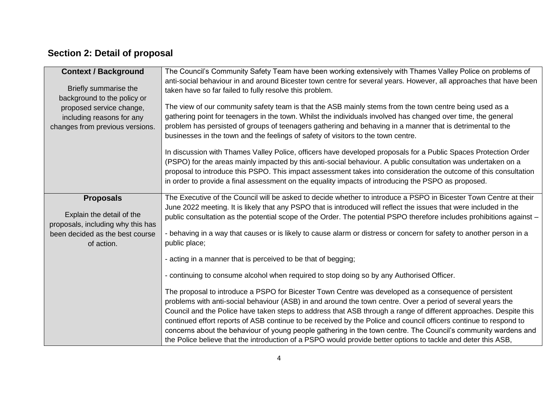# <span id="page-3-0"></span>**Section 2: Detail of proposal**

| The Council's Community Safety Team have been working extensively with Thames Valley Police on problems of<br><b>Context / Background</b>               |  |
|---------------------------------------------------------------------------------------------------------------------------------------------------------|--|
|                                                                                                                                                         |  |
| anti-social behaviour in and around Bicester town centre for several years. However, all approaches that have been<br>Briefly summarise the             |  |
| taken have so far failed to fully resolve this problem.                                                                                                 |  |
| background to the policy or                                                                                                                             |  |
| The view of our community safety team is that the ASB mainly stems from the town centre being used as a<br>proposed service change,                     |  |
| gathering point for teenagers in the town. Whilst the individuals involved has changed over time, the general<br>including reasons for any              |  |
| problem has persisted of groups of teenagers gathering and behaving in a manner that is detrimental to the<br>changes from previous versions.           |  |
| businesses in the town and the feelings of safety of visitors to the town centre.                                                                       |  |
| In discussion with Thames Valley Police, officers have developed proposals for a Public Spaces Protection Order                                         |  |
| (PSPO) for the areas mainly impacted by this anti-social behaviour. A public consultation was undertaken on a                                           |  |
| proposal to introduce this PSPO. This impact assessment takes into consideration the outcome of this consultation                                       |  |
| in order to provide a final assessment on the equality impacts of introducing the PSPO as proposed.                                                     |  |
|                                                                                                                                                         |  |
| The Executive of the Council will be asked to decide whether to introduce a PSPO in Bicester Town Centre at their<br><b>Proposals</b>                   |  |
| June 2022 meeting. It is likely that any PSPO that is introduced will reflect the issues that were included in the                                      |  |
| Explain the detail of the<br>public consultation as the potential scope of the Order. The potential PSPO therefore includes prohibitions against -      |  |
| proposals, including why this has                                                                                                                       |  |
| - behaving in a way that causes or is likely to cause alarm or distress or concern for safety to another person in a<br>been decided as the best course |  |
| public place;<br>of action.                                                                                                                             |  |
| - acting in a manner that is perceived to be that of begging;                                                                                           |  |
| - continuing to consume alcohol when required to stop doing so by any Authorised Officer.                                                               |  |
|                                                                                                                                                         |  |
| The proposal to introduce a PSPO for Bicester Town Centre was developed as a consequence of persistent                                                  |  |
| problems with anti-social behaviour (ASB) in and around the town centre. Over a period of several years the                                             |  |
| Council and the Police have taken steps to address that ASB through a range of different approaches. Despite this                                       |  |
| continued effort reports of ASB continue to be received by the Police and council officers continue to respond to                                       |  |
| concerns about the behaviour of young people gathering in the town centre. The Council's community wardens and                                          |  |
| the Police believe that the introduction of a PSPO would provide better options to tackle and deter this ASB,                                           |  |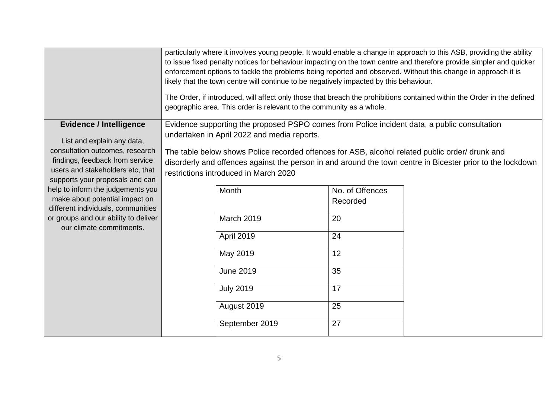|                                                                                                                                           | particularly where it involves young people. It would enable a change in approach to this ASB, providing the ability<br>to issue fixed penalty notices for behaviour impacting on the town centre and therefore provide simpler and quicker<br>enforcement options to tackle the problems being reported and observed. Without this change in approach it is<br>likely that the town centre will continue to be negatively impacted by this behaviour.<br>The Order, if introduced, will affect only those that breach the prohibitions contained within the Order in the defined<br>geographic area. This order is relevant to the community as a whole. |                                                                                              |                 |  |  |  |  |  |  |
|-------------------------------------------------------------------------------------------------------------------------------------------|-----------------------------------------------------------------------------------------------------------------------------------------------------------------------------------------------------------------------------------------------------------------------------------------------------------------------------------------------------------------------------------------------------------------------------------------------------------------------------------------------------------------------------------------------------------------------------------------------------------------------------------------------------------|----------------------------------------------------------------------------------------------|-----------------|--|--|--|--|--|--|
| <b>Evidence / Intelligence</b>                                                                                                            |                                                                                                                                                                                                                                                                                                                                                                                                                                                                                                                                                                                                                                                           | Evidence supporting the proposed PSPO comes from Police incident data, a public consultation |                 |  |  |  |  |  |  |
| List and explain any data,                                                                                                                |                                                                                                                                                                                                                                                                                                                                                                                                                                                                                                                                                                                                                                                           | undertaken in April 2022 and media reports.                                                  |                 |  |  |  |  |  |  |
| consultation outcomes, research<br>findings, feedback from service<br>users and stakeholders etc, that<br>supports your proposals and can | The table below shows Police recorded offences for ASB, alcohol related public order/ drunk and<br>disorderly and offences against the person in and around the town centre in Bicester prior to the lockdown<br>restrictions introduced in March 2020                                                                                                                                                                                                                                                                                                                                                                                                    |                                                                                              |                 |  |  |  |  |  |  |
| help to inform the judgements you                                                                                                         |                                                                                                                                                                                                                                                                                                                                                                                                                                                                                                                                                                                                                                                           | Month                                                                                        | No. of Offences |  |  |  |  |  |  |
| make about potential impact on                                                                                                            |                                                                                                                                                                                                                                                                                                                                                                                                                                                                                                                                                                                                                                                           |                                                                                              | Recorded        |  |  |  |  |  |  |
| different individuals, communities<br>or groups and our ability to deliver                                                                |                                                                                                                                                                                                                                                                                                                                                                                                                                                                                                                                                                                                                                                           | March 2019                                                                                   | 20              |  |  |  |  |  |  |
| our climate commitments.                                                                                                                  |                                                                                                                                                                                                                                                                                                                                                                                                                                                                                                                                                                                                                                                           |                                                                                              |                 |  |  |  |  |  |  |
|                                                                                                                                           |                                                                                                                                                                                                                                                                                                                                                                                                                                                                                                                                                                                                                                                           | April 2019                                                                                   | 24              |  |  |  |  |  |  |
|                                                                                                                                           |                                                                                                                                                                                                                                                                                                                                                                                                                                                                                                                                                                                                                                                           | May 2019                                                                                     | 12              |  |  |  |  |  |  |
|                                                                                                                                           |                                                                                                                                                                                                                                                                                                                                                                                                                                                                                                                                                                                                                                                           | <b>June 2019</b>                                                                             | 35              |  |  |  |  |  |  |
|                                                                                                                                           |                                                                                                                                                                                                                                                                                                                                                                                                                                                                                                                                                                                                                                                           | <b>July 2019</b>                                                                             | 17              |  |  |  |  |  |  |
|                                                                                                                                           |                                                                                                                                                                                                                                                                                                                                                                                                                                                                                                                                                                                                                                                           | August 2019                                                                                  | 25              |  |  |  |  |  |  |
|                                                                                                                                           |                                                                                                                                                                                                                                                                                                                                                                                                                                                                                                                                                                                                                                                           | September 2019                                                                               | 27              |  |  |  |  |  |  |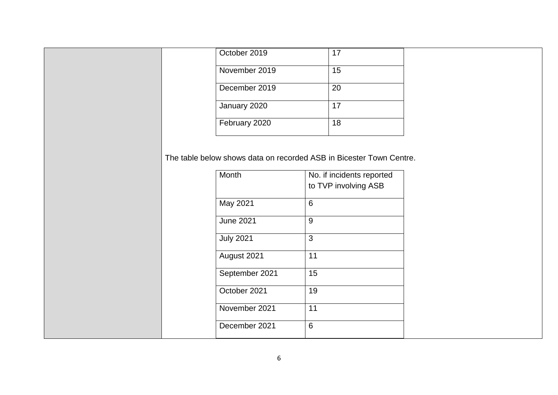| October 2019  | 17 |
|---------------|----|
| November 2019 | 15 |
| December 2019 | 20 |
| January 2020  | 17 |
| February 2020 | 18 |

The table below shows data on recorded ASB in Bicester Town Centre.

| Month            | No. if incidents reported<br>to TVP involving ASB |
|------------------|---------------------------------------------------|
| May 2021         | 6                                                 |
| <b>June 2021</b> | 9                                                 |
| <b>July 2021</b> | 3                                                 |
| August 2021      | 11                                                |
| September 2021   | 15                                                |
| October 2021     | 19                                                |
| November 2021    | 11                                                |
| December 2021    | 6                                                 |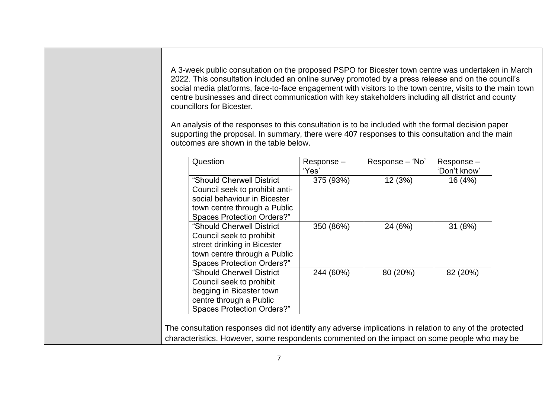A 3-week public consultation on the proposed PSPO for Bicester town centre was undertaken in March 2022. This consultation included an online survey promoted by a press release and on the council's social media platforms, face-to-face engagement with visitors to the town centre, visits to the main town centre businesses and direct communication with key stakeholders including all district and county councillors for Bicester.

An analysis of the responses to this consultation is to be included with the formal decision paper supporting the proposal. In summary, there were 407 responses to this consultation and the main outcomes are shown in the table below.

| Question                                                                                                                                                         | Response-<br>'Yes' | Response - 'No' | Response-<br>'Don't know' |
|------------------------------------------------------------------------------------------------------------------------------------------------------------------|--------------------|-----------------|---------------------------|
| "Should Cherwell District<br>Council seek to prohibit anti-<br>social behaviour in Bicester<br>town centre through a Public<br><b>Spaces Protection Orders?"</b> | 375 (93%)          | 12(3%)          | 16 (4%)                   |
| "Should Cherwell District<br>Council seek to prohibit<br>street drinking in Bicester<br>town centre through a Public<br><b>Spaces Protection Orders?"</b>        | 350 (86%)          | 24 (6%)         | 31 (8%)                   |
| "Should Cherwell District<br>Council seek to prohibit<br>begging in Bicester town<br>centre through a Public<br><b>Spaces Protection Orders?"</b>                | 244 (60%)          | 80 (20%)        | 82 (20%)                  |

The consultation responses did not identify any adverse implications in relation to any of the protected characteristics. However, some respondents commented on the impact on some people who may be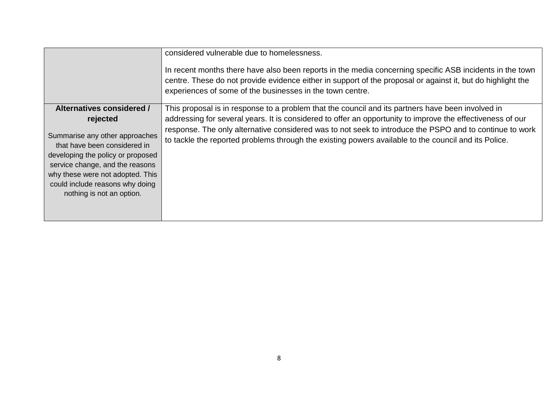|                                                                                                                                                                                                                                                                                     | considered vulnerable due to homelessness.<br>In recent months there have also been reports in the media concerning specific ASB incidents in the town<br>centre. These do not provide evidence either in support of the proposal or against it, but do highlight the<br>experiences of some of the businesses in the town centre.                                                                                                 |
|-------------------------------------------------------------------------------------------------------------------------------------------------------------------------------------------------------------------------------------------------------------------------------------|------------------------------------------------------------------------------------------------------------------------------------------------------------------------------------------------------------------------------------------------------------------------------------------------------------------------------------------------------------------------------------------------------------------------------------|
| Alternatives considered /<br>rejected<br>Summarise any other approaches<br>that have been considered in<br>developing the policy or proposed<br>service change, and the reasons<br>why these were not adopted. This<br>could include reasons why doing<br>nothing is not an option. | This proposal is in response to a problem that the council and its partners have been involved in<br>addressing for several years. It is considered to offer an opportunity to improve the effectiveness of our<br>response. The only alternative considered was to not seek to introduce the PSPO and to continue to work<br>to tackle the reported problems through the existing powers available to the council and its Police. |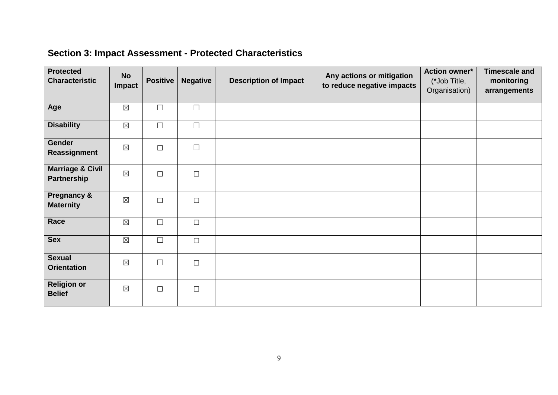# <span id="page-8-0"></span>**Section 3: Impact Assessment - Protected Characteristics**

| <b>Protected</b><br><b>Characteristic</b>  | <b>No</b><br>Impact | <b>Positive</b> | <b>Negative</b> | <b>Description of Impact</b> | Any actions or mitigation<br>to reduce negative impacts | <b>Action owner*</b><br>(*Job Title,<br>Organisation) | <b>Timescale and</b><br>monitoring<br>arrangements |
|--------------------------------------------|---------------------|-----------------|-----------------|------------------------------|---------------------------------------------------------|-------------------------------------------------------|----------------------------------------------------|
| Age                                        | $\boxtimes$         | $\Box$          | $\Box$          |                              |                                                         |                                                       |                                                    |
| <b>Disability</b>                          | $\boxtimes$         | $\Box$          | $\Box$          |                              |                                                         |                                                       |                                                    |
| Gender<br>Reassignment                     | $\boxtimes$         | $\Box$          | $\Box$          |                              |                                                         |                                                       |                                                    |
| <b>Marriage &amp; Civil</b><br>Partnership | $\boxtimes$         | $\Box$          | $\Box$          |                              |                                                         |                                                       |                                                    |
| <b>Pregnancy &amp;</b><br><b>Maternity</b> | $\boxtimes$         | $\Box$          | $\Box$          |                              |                                                         |                                                       |                                                    |
| Race                                       | $\boxtimes$         | $\Box$          | $\Box$          |                              |                                                         |                                                       |                                                    |
| <b>Sex</b>                                 | $\boxtimes$         | $\Box$          | $\Box$          |                              |                                                         |                                                       |                                                    |
| <b>Sexual</b><br><b>Orientation</b>        | $\boxtimes$         | $\Box$          | $\Box$          |                              |                                                         |                                                       |                                                    |
| <b>Religion or</b><br><b>Belief</b>        | $\boxtimes$         | $\Box$          | $\Box$          |                              |                                                         |                                                       |                                                    |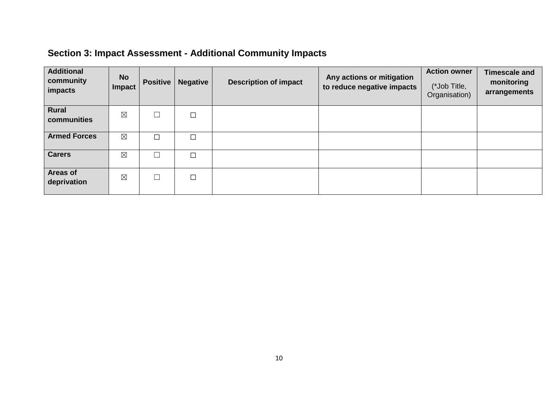# <span id="page-9-0"></span>**Section 3: Impact Assessment - Additional Community Impacts**

| <b>Additional</b><br>community<br>impacts | <b>No</b><br>Impact | <b>Positive</b> | <b>Negative</b> | <b>Description of impact</b> | Any actions or mitigation<br>to reduce negative impacts | <b>Action owner</b><br>(*Job Title,<br>Organisation) | <b>Timescale and</b><br>monitoring<br>arrangements |
|-------------------------------------------|---------------------|-----------------|-----------------|------------------------------|---------------------------------------------------------|------------------------------------------------------|----------------------------------------------------|
| <b>Rural</b><br>communities               | $\boxtimes$         |                 | $\Box$          |                              |                                                         |                                                      |                                                    |
| <b>Armed Forces</b>                       | $\boxtimes$         | П               | $\Box$          |                              |                                                         |                                                      |                                                    |
| <b>Carers</b>                             | $\boxtimes$         |                 | $\Box$          |                              |                                                         |                                                      |                                                    |
| <b>Areas of</b><br>deprivation            | $\boxtimes$         |                 | $\Box$          |                              |                                                         |                                                      |                                                    |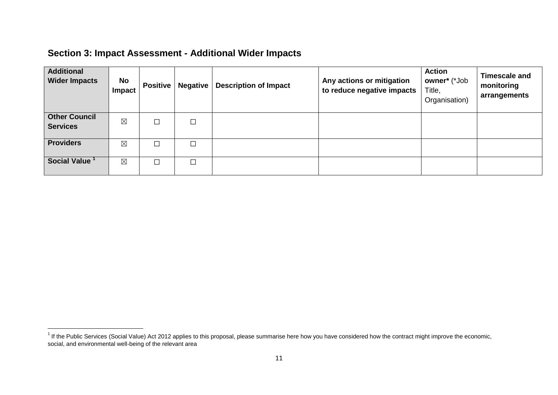#### <span id="page-10-0"></span>**Section 3: Impact Assessment - Additional Wider Impacts**

| <b>Additional</b><br><b>Wider Impacts</b> | No<br><b>Impact</b> | <b>Positive</b> | <b>Negative</b> | <b>Description of Impact</b> | Any actions or mitigation<br>to reduce negative impacts | <b>Action</b><br>owner* (*Job<br>Title,<br>Organisation) | <b>Timescale and</b><br>monitoring<br>arrangements |
|-------------------------------------------|---------------------|-----------------|-----------------|------------------------------|---------------------------------------------------------|----------------------------------------------------------|----------------------------------------------------|
| <b>Other Council</b><br><b>Services</b>   | $\boxtimes$         | □               | $\Box$          |                              |                                                         |                                                          |                                                    |
| <b>Providers</b>                          | $\boxtimes$         | П               | $\Box$          |                              |                                                         |                                                          |                                                    |
| Social Value <sup>1</sup>                 | $\boxtimes$         | ┑               | П               |                              |                                                         |                                                          |                                                    |

 1 If the Public Services (Social Value) Act 2012 applies to this proposal, please summarise here how you have considered how the contract might improve the economic, social, and environmental well-being of the relevant area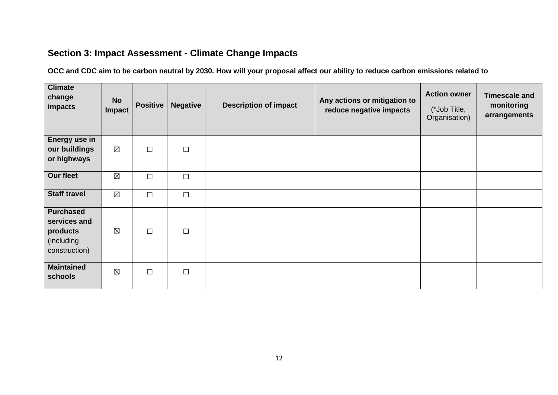#### <span id="page-11-0"></span>**Section 3: Impact Assessment - Climate Change Impacts**

**OCC and CDC aim to be carbon neutral by 2030. How will your proposal affect our ability to reduce carbon emissions related to**

| <b>Climate</b><br>change<br>impacts                                         | <b>No</b><br>Impact | <b>Positive</b> | <b>Negative</b> | <b>Description of impact</b> | Any actions or mitigation to<br>reduce negative impacts | <b>Action owner</b><br>(*Job Title,<br>Organisation) | <b>Timescale and</b><br>monitoring<br>arrangements |
|-----------------------------------------------------------------------------|---------------------|-----------------|-----------------|------------------------------|---------------------------------------------------------|------------------------------------------------------|----------------------------------------------------|
| Energy use in<br>our buildings<br>or highways                               | $\boxtimes$         | $\Box$          | $\Box$          |                              |                                                         |                                                      |                                                    |
| Our fleet                                                                   | $\boxtimes$         | $\Box$          | $\Box$          |                              |                                                         |                                                      |                                                    |
| <b>Staff travel</b>                                                         | $\boxtimes$         | $\Box$          | $\Box$          |                              |                                                         |                                                      |                                                    |
| <b>Purchased</b><br>services and<br>products<br>(including<br>construction) | $\boxtimes$         | $\Box$          | $\Box$          |                              |                                                         |                                                      |                                                    |
| <b>Maintained</b><br>schools                                                | $\boxtimes$         | $\Box$          | $\Box$          |                              |                                                         |                                                      |                                                    |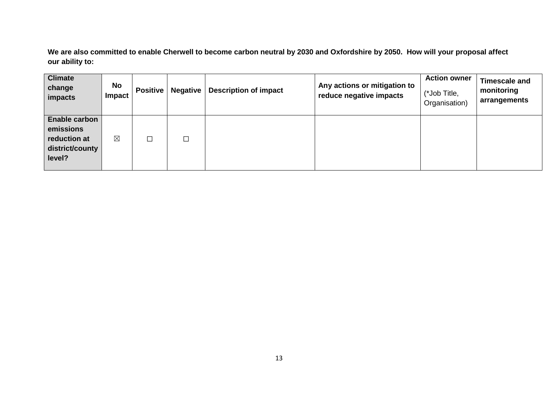**We are also committed to enable Cherwell to become carbon neutral by 2030 and Oxfordshire by 2050. How will your proposal affect our ability to:** 

| <b>Climate</b><br>change<br>impacts                                     | <b>No</b><br><b>Impact</b> | <b>Positive</b> | <b>Negative</b> | <b>Description of impact</b> | Any actions or mitigation to<br>reduce negative impacts | <b>Action owner</b><br>(*Job Title,<br>Organisation) | Timescale and<br>monitoring<br>arrangements |
|-------------------------------------------------------------------------|----------------------------|-----------------|-----------------|------------------------------|---------------------------------------------------------|------------------------------------------------------|---------------------------------------------|
| Enable carbon<br>emissions<br>reduction at<br>district/county<br>level? | $\boxtimes$                | ┑               |                 |                              |                                                         |                                                      |                                             |